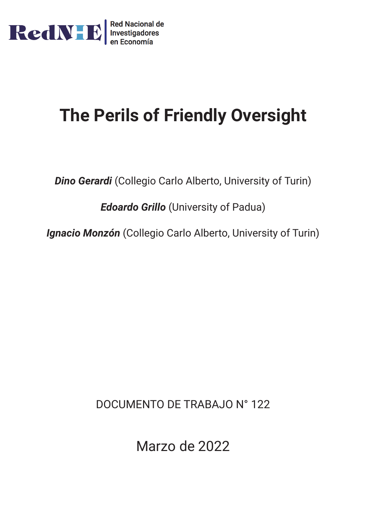

# **The Perils of Friendly Oversight**

*Dino Gerardi* (Collegio Carlo Alberto, University of Turin)

*Edoardo Grillo* (University of Padua)

*Ignacio Monzón* (Collegio Carlo Alberto, University of Turin)

DOCUMENTO DE TRABAJO N° 122

Marzo de 2022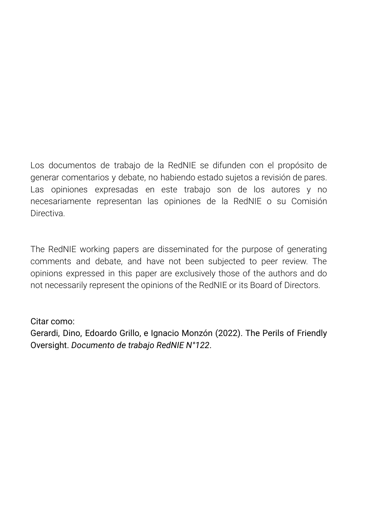Los documentos de trabajo de la RedNIE se difunden con el propósito de generar comentarios y debate, no habiendo estado sujetos a revisión de pares. Las opiniones expresadas en este trabajo son de los autores y no necesariamente representan las opiniones de la RedNIE o su Comisión **Directiva** 

The RedNIE working papers are disseminated for the purpose of generating comments and debate, and have not been subjected to peer review. The opinions expressed in this paper are exclusively those of the authors and do not necessarily represent the opinions of the RedNIE or its Board of Directors.

Citar como:

Gerardi, Dino, Edoardo Grillo, e Ignacio Monzón (2022). The Perils of Friendly Oversight. *Documento de trabajo RedNIE N°122*.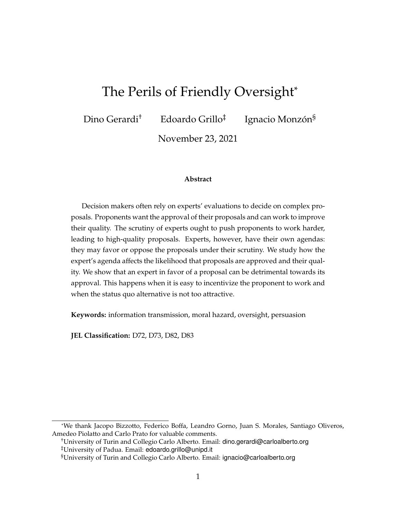# The Perils of Friendly Oversight\*

Dino Gerardi<sup>†</sup> Edoardo Grillo<sup>‡</sup> Ignacio Monzón<sup>§</sup>

November 23, 2021

#### **Abstract**

Decision makers often rely on experts' evaluations to decide on complex proposals. Proponents want the approval of their proposals and can work to improve their quality. The scrutiny of experts ought to push proponents to work harder, leading to high-quality proposals. Experts, however, have their own agendas: they may favor or oppose the proposals under their scrutiny. We study how the expert's agenda affects the likelihood that proposals are approved and their quality. We show that an expert in favor of a proposal can be detrimental towards its approval. This happens when it is easy to incentivize the proponent to work and when the status quo alternative is not too attractive.

**Keywords:** information transmission, moral hazard, oversight, persuasion

**JEL Classification:** D72, D73, D82, D83

†University of Turin and Collegio Carlo Alberto. Email: dino.gerardi@carloalberto.org

<sup>\*</sup>We thank Jacopo Bizzotto, Federico Boffa, Leandro Gorno, Juan S. Morales, Santiago Oliveros, Amedeo Piolatto and Carlo Prato for valuable comments.

<sup>‡</sup>University of Padua. Email: edoardo.grillo@unipd.it

<sup>§</sup>University of Turin and Collegio Carlo Alberto. Email: ignacio@carloalberto.org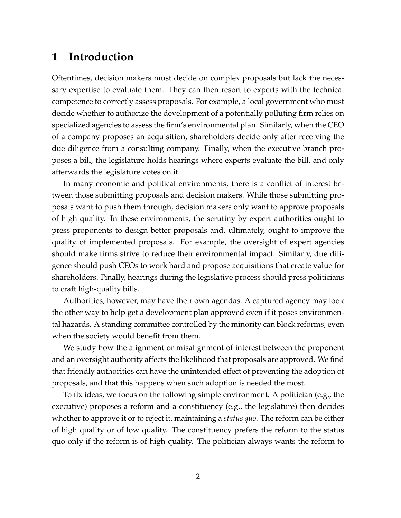# **1 Introduction**

Oftentimes, decision makers must decide on complex proposals but lack the necessary expertise to evaluate them. They can then resort to experts with the technical competence to correctly assess proposals. For example, a local government who must decide whether to authorize the development of a potentially polluting firm relies on specialized agencies to assess the firm's environmental plan. Similarly, when the CEO of a company proposes an acquisition, shareholders decide only after receiving the due diligence from a consulting company. Finally, when the executive branch proposes a bill, the legislature holds hearings where experts evaluate the bill, and only afterwards the legislature votes on it.

In many economic and political environments, there is a conflict of interest between those submitting proposals and decision makers. While those submitting proposals want to push them through, decision makers only want to approve proposals of high quality. In these environments, the scrutiny by expert authorities ought to press proponents to design better proposals and, ultimately, ought to improve the quality of implemented proposals. For example, the oversight of expert agencies should make firms strive to reduce their environmental impact. Similarly, due diligence should push CEOs to work hard and propose acquisitions that create value for shareholders. Finally, hearings during the legislative process should press politicians to craft high-quality bills.

Authorities, however, may have their own agendas. A captured agency may look the other way to help get a development plan approved even if it poses environmental hazards. A standing committee controlled by the minority can block reforms, even when the society would benefit from them.

We study how the alignment or misalignment of interest between the proponent and an oversight authority affects the likelihood that proposals are approved. We find that friendly authorities can have the unintended effect of preventing the adoption of proposals, and that this happens when such adoption is needed the most.

To fix ideas, we focus on the following simple environment. A politician (e.g., the executive) proposes a reform and a constituency (e.g., the legislature) then decides whether to approve it or to reject it, maintaining a *status quo*. The reform can be either of high quality or of low quality. The constituency prefers the reform to the status quo only if the reform is of high quality. The politician always wants the reform to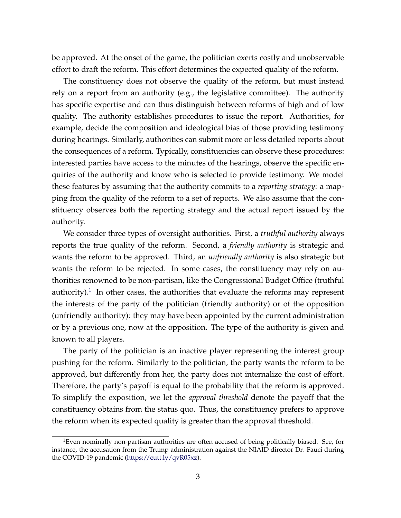be approved. At the onset of the game, the politician exerts costly and unobservable effort to draft the reform. This effort determines the expected quality of the reform.

The constituency does not observe the quality of the reform, but must instead rely on a report from an authority (e.g., the legislative committee). The authority has specific expertise and can thus distinguish between reforms of high and of low quality. The authority establishes procedures to issue the report. Authorities, for example, decide the composition and ideological bias of those providing testimony during hearings. Similarly, authorities can submit more or less detailed reports about the consequences of a reform. Typically, constituencies can observe these procedures: interested parties have access to the minutes of the hearings, observe the specific enquiries of the authority and know who is selected to provide testimony. We model these features by assuming that the authority commits to a *reporting strategy*: a mapping from the quality of the reform to a set of reports. We also assume that the constituency observes both the reporting strategy and the actual report issued by the authority.

We consider three types of oversight authorities. First, a *truthful authority* always reports the true quality of the reform. Second, a *friendly authority* is strategic and wants the reform to be approved. Third, an *unfriendly authority* is also strategic but wants the reform to be rejected. In some cases, the constituency may rely on authorities renowned to be non-partisan, like the Congressional Budget Office (truthful authority).<sup>1</sup> In other cases, the authorities that evaluate the reforms may represent the interests of the party of the politician (friendly authority) or of the opposition (unfriendly authority): they may have been appointed by the current administration or by a previous one, now at the opposition. The type of the authority is given and known to all players.

The party of the politician is an inactive player representing the interest group pushing for the reform. Similarly to the politician, the party wants the reform to be approved, but differently from her, the party does not internalize the cost of effort. Therefore, the party's payoff is equal to the probability that the reform is approved. To simplify the exposition, we let the *approval threshold* denote the payoff that the constituency obtains from the status quo. Thus, the constituency prefers to approve the reform when its expected quality is greater than the approval threshold.

<span id="page-4-0"></span><sup>&</sup>lt;sup>1</sup>Even nominally non-partisan authorities are often accused of being politically biased. See, for instance, the accusation from the Trump administration against the NIAID director Dr. Fauci during the COVID-19 pandemic [\(https://cutt.ly/qvR05xz\)](https://cutt.ly/qvR05xz).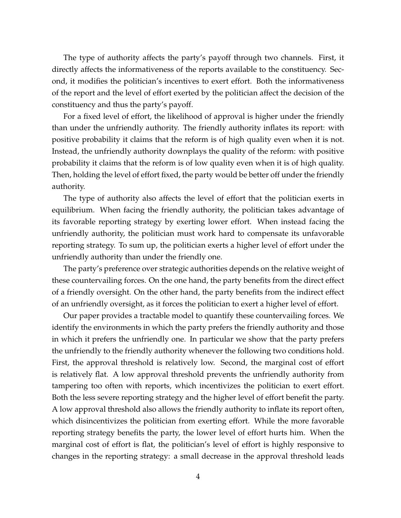The type of authority affects the party's payoff through two channels. First, it directly affects the informativeness of the reports available to the constituency. Second, it modifies the politician's incentives to exert effort. Both the informativeness of the report and the level of effort exerted by the politician affect the decision of the constituency and thus the party's payoff.

For a fixed level of effort, the likelihood of approval is higher under the friendly than under the unfriendly authority. The friendly authority inflates its report: with positive probability it claims that the reform is of high quality even when it is not. Instead, the unfriendly authority downplays the quality of the reform: with positive probability it claims that the reform is of low quality even when it is of high quality. Then, holding the level of effort fixed, the party would be better off under the friendly authority.

The type of authority also affects the level of effort that the politician exerts in equilibrium. When facing the friendly authority, the politician takes advantage of its favorable reporting strategy by exerting lower effort. When instead facing the unfriendly authority, the politician must work hard to compensate its unfavorable reporting strategy. To sum up, the politician exerts a higher level of effort under the unfriendly authority than under the friendly one.

The party's preference over strategic authorities depends on the relative weight of these countervailing forces. On the one hand, the party benefits from the direct effect of a friendly oversight. On the other hand, the party benefits from the indirect effect of an unfriendly oversight, as it forces the politician to exert a higher level of effort.

Our paper provides a tractable model to quantify these countervailing forces. We identify the environments in which the party prefers the friendly authority and those in which it prefers the unfriendly one. In particular we show that the party prefers the unfriendly to the friendly authority whenever the following two conditions hold. First, the approval threshold is relatively low. Second, the marginal cost of effort is relatively flat. A low approval threshold prevents the unfriendly authority from tampering too often with reports, which incentivizes the politician to exert effort. Both the less severe reporting strategy and the higher level of effort benefit the party. A low approval threshold also allows the friendly authority to inflate its report often, which disincentivizes the politician from exerting effort. While the more favorable reporting strategy benefits the party, the lower level of effort hurts him. When the marginal cost of effort is flat, the politician's level of effort is highly responsive to changes in the reporting strategy: a small decrease in the approval threshold leads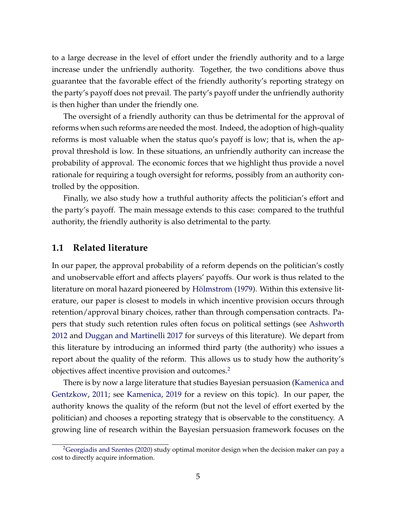to a large decrease in the level of effort under the friendly authority and to a large increase under the unfriendly authority. Together, the two conditions above thus guarantee that the favorable effect of the friendly authority's reporting strategy on the party's payoff does not prevail. The party's payoff under the unfriendly authority is then higher than under the friendly one.

The oversight of a friendly authority can thus be detrimental for the approval of reforms when such reforms are needed the most. Indeed, the adoption of high-quality reforms is most valuable when the status quo's payoff is low; that is, when the approval threshold is low. In these situations, an unfriendly authority can increase the probability of approval. The economic forces that we highlight thus provide a novel rationale for requiring a tough oversight for reforms, possibly from an authority controlled by the opposition.

Finally, we also study how a truthful authority affects the politician's effort and the party's payoff. The main message extends to this case: compared to the truthful authority, the friendly authority is also detrimental to the party.

#### **1.1 Related literature**

In our paper, the approval probability of a reform depends on the politician's costly and unobservable effort and affects players' payoffs. Our work is thus related to the literature on moral hazard pioneered by Hölmstrom [\(1979\)](#page-33-0). Within this extensive literature, our paper is closest to models in which incentive provision occurs through retention/approval binary choices, rather than through compensation contracts. Papers that study such retention rules often focus on political settings (see [Ashworth](#page-32-0) [2012](#page-32-0) and [Duggan and Martinelli](#page-32-1) [2017](#page-32-1) for surveys of this literature). We depart from this literature by introducing an informed third party (the authority) who issues a report about the quality of the reform. This allows us to study how the authority's objectives affect incentive provision and outcomes.<sup>2</sup>

There is by now a large literature that studies Bayesian persuasion [\(Kamenica and](#page-33-1) [Gentzkow,](#page-33-1) [2011;](#page-33-1) see [Kamenica,](#page-33-2) [2019](#page-33-2) for a review on this topic). In our paper, the authority knows the quality of the reform (but not the level of effort exerted by the politician) and chooses a reporting strategy that is observable to the constituency. A growing line of research within the Bayesian persuasion framework focuses on the

<span id="page-6-0"></span><sup>&</sup>lt;sup>2</sup>Georgiadis and Szentes [\(2020\)](#page-33-3) study optimal monitor design when the decision maker can pay a cost to directly acquire information.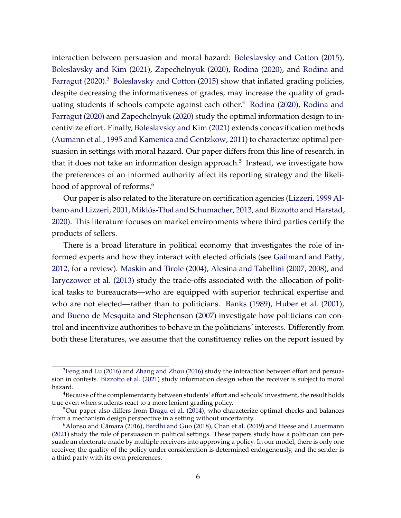interaction between persuasion and moral hazard: [Boleslavsky and Cotton](#page-32-2) [\(2015\)](#page-32-2), [Boleslavsky and Kim](#page-32-3) [\(2021\)](#page-32-3), [Zapechelnyuk](#page-34-0) [\(2020\)](#page-34-0), [Rodina](#page-34-1) [\(2020\)](#page-34-1), and [Rodina and](#page-34-2) [Farragut](#page-34-2)  $(2020)^3$  $(2020)^3$  [Boleslavsky and Cotton](#page-32-2)  $(2015)$  show that inflated grading policies, despite decreasing the informativeness of grades, may increase the quality of grad-uating students if schools compete against each other.<sup>[4](#page-7-1)</sup> [Rodina](#page-34-1) [\(2020\)](#page-34-1), [Rodina and](#page-34-2) [Farragut](#page-34-2) [\(2020\)](#page-34-2) and [Zapechelnyuk](#page-34-0) [\(2020\)](#page-34-0) study the optimal information design to incentivize effort. Finally, [Boleslavsky and Kim](#page-32-3) [\(2021\)](#page-32-3) extends concavification methods [\(Aumann et al.,](#page-32-4) [1995](#page-32-4) and [Kamenica and Gentzkow,](#page-33-1) [2011\)](#page-33-1) to characterize optimal persuasion in settings with moral hazard. Our paper differs from this line of research, in that it does not take an information design approach.<sup>5</sup> Instead, we investigate how the preferences of an informed authority affect its reporting strategy and the likelihood of approval of reforms.<sup>6</sup>

Our paper is also related to the literature on certification agencies [\(Lizzeri,](#page-33-4) [1999](#page-33-4) [Al](#page-31-0)[bano and Lizzeri,](#page-31-0) [2001,](#page-31-0) Miklós-Thal and Schumacher, [2013,](#page-34-3) and [Bizzotto and Harstad,](#page-32-5) [2020\)](#page-32-5). This literature focuses on market environments where third parties certify the products of sellers.

There is a broad literature in political economy that investigates the role of informed experts and how they interact with elected officials (see [Gailmard and Patty,](#page-33-5) [2012,](#page-33-5) for a review). [Maskin and Tirole](#page-33-6) [\(2004\)](#page-33-6), [Alesina and Tabellini](#page-31-1) [\(2007,](#page-31-1) [2008\)](#page-31-2), and [Iaryczower et al.](#page-33-7) [\(2013\)](#page-33-7) study the trade-offs associated with the allocation of political tasks to bureaucrats—who are equipped with superior technical expertise and who are not elected—rather than to politicians. [Banks](#page-32-6) [\(1989\)](#page-32-6), [Huber et al.](#page-33-8) [\(2001\)](#page-33-8), and [Bueno de Mesquita and Stephenson](#page-32-7) [\(2007\)](#page-32-7) investigate how politicians can control and incentivize authorities to behave in the politicians' interests. Differently from both these literatures, we assume that the constituency relies on the report issued by

<span id="page-7-0"></span> $3$ Feng and Lu [\(2016\)](#page-34-4) and [Zhang and Zhou](#page-34-4) (2016) study the interaction between effort and persuasion in contests. [Bizzotto et al.](#page-32-8) [\(2021\)](#page-32-8) study information design when the receiver is subject to moral hazard.

<span id="page-7-1"></span><sup>&</sup>lt;sup>4</sup>Because of the complementarity between students' effort and schools' investment, the result holds true even when students react to a more lenient grading policy.

<span id="page-7-2"></span> $5$ Our paper also differs from [Dragu et al.](#page-32-9) [\(2014\)](#page-32-9), who characterize optimal checks and balances from a mechanism design perspective in a setting without uncertainty.

<span id="page-7-3"></span> $6$ Alonso and Câmara [\(2016\)](#page-31-3), [Bardhi and Guo](#page-32-10) [\(2018\)](#page-32-10), [Chan et al.](#page-32-11) [\(2019\)](#page-32-11) and [Heese and Lauermann](#page-33-10) [\(2021\)](#page-33-10) study the role of persuasion in political settings. These papers study how a politician can persuade an electorate made by multiple receivers into approving a policy. In our model, there is only one receiver, the quality of the policy under consideration is determined endogenously, and the sender is a third party with its own preferences.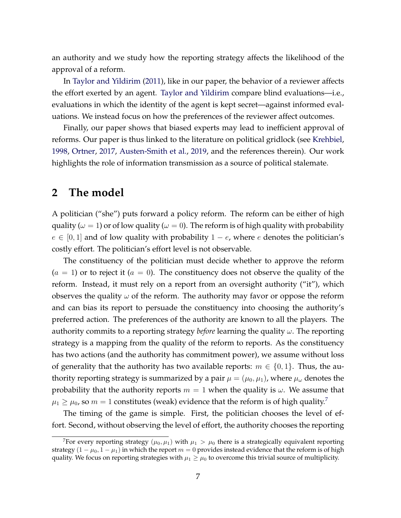an authority and we study how the reporting strategy affects the likelihood of the approval of a reform.

In [Taylor and Yildirim](#page-34-5) [\(2011\)](#page-34-5), like in our paper, the behavior of a reviewer affects the effort exerted by an agent. [Taylor and Yildirim](#page-34-5) compare blind evaluations—i.e., evaluations in which the identity of the agent is kept secret—against informed evaluations. We instead focus on how the preferences of the reviewer affect outcomes.

Finally, our paper shows that biased experts may lead to inefficient approval of reforms. Our paper is thus linked to the literature on political gridlock (see [Krehbiel,](#page-33-11) [1998,](#page-33-11) [Ortner,](#page-34-6) [2017,](#page-34-6) [Austen-Smith et al.,](#page-32-12) [2019,](#page-32-12) and the references therein). Our work highlights the role of information transmission as a source of political stalemate.

## <span id="page-8-1"></span>**2 The model**

A politician ("she") puts forward a policy reform. The reform can be either of high quality ( $\omega = 1$ ) or of low quality ( $\omega = 0$ ). The reform is of high quality with probability  $e \in [0, 1]$  and of low quality with probability  $1 - e$ , where *e* denotes the politician's costly effort. The politician's effort level is not observable.

The constituency of the politician must decide whether to approve the reform  $(a = 1)$  or to reject it  $(a = 0)$ . The constituency does not observe the quality of the reform. Instead, it must rely on a report from an oversight authority ("it"), which observes the quality  $\omega$  of the reform. The authority may favor or oppose the reform and can bias its report to persuade the constituency into choosing the authority's preferred action. The preferences of the authority are known to all the players. The authority commits to a reporting strategy *before* learning the quality  $\omega$ . The reporting strategy is a mapping from the quality of the reform to reports. As the constituency has two actions (and the authority has commitment power), we assume without loss of generality that the authority has two available reports:  $m \in \{0, 1\}$ . Thus, the authority reporting strategy is summarized by a pair  $\mu = (\mu_0, \mu_1)$ , where  $\mu_\omega$  denotes the probability that the authority reports  $m = 1$  when the quality is  $\omega$ . We assume that  $\mu_1 \geq \mu_0$ , so  $m=1$  constitutes (weak) evidence that the reform is of high quality.<sup>7</sup>

The timing of the game is simple. First, the politician chooses the level of effort. Second, without observing the level of effort, the authority chooses the reporting

<span id="page-8-0"></span><sup>&</sup>lt;sup>7</sup>For every reporting strategy  $(\mu_0, \mu_1)$  with  $\mu_1 > \mu_0$  there is a strategically equivalent reporting strategy  $(1 - \mu_0, 1 - \mu_1)$  in which the report  $m = 0$  provides instead evidence that the reform is of high quality. We focus on reporting strategies with  $\mu_1 \geq \mu_0$  to overcome this trivial source of multiplicity.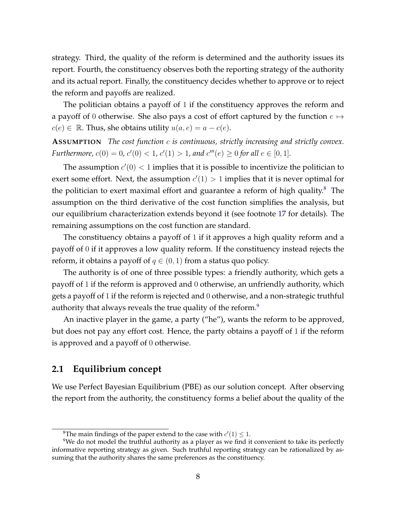strategy. Third, the quality of the reform is determined and the authority issues its report. Fourth, the constituency observes both the reporting strategy of the authority and its actual report. Finally, the constituency decides whether to approve or to reject the reform and payoffs are realized.

The politician obtains a payoff of 1 if the constituency approves the reform and a payoff of 0 otherwise. She also pays a cost of effort captured by the function  $e \mapsto$  $c(e) \in \mathbb{R}$ . Thus, she obtains utility  $u(a, e) = a - c(e)$ .

**ASSUMPTION** *The cost function c is continuous, strictly increasing and strictly convex. Furthermore,*  $c(0) = 0$ ,  $c'(0) < 1$ ,  $c'(1) > 1$ , and  $c'''(e) \ge 0$  for all  $e \in [0, 1]$ .

The assumption  $c'(0) < 1$  implies that it is possible to incentivize the politician to exert some effort. Next, the assumption  $c'(1) > 1$  implies that it is never optimal for the politician to exert maximal effort and guarantee a reform of high quality. $8$  The assumption on the third derivative of the cost function simplifies the analysis, but our equilibrium characterization extends beyond it (see footnote [17](#page-16-0) for details). The remaining assumptions on the cost function are standard.

The constituency obtains a payoff of 1 if it approves a high quality reform and a payoff of 0 if it approves a low quality reform. If the constituency instead rejects the reform, it obtains a payoff of  $q \in (0, 1)$  from a status quo policy.

The authority is of one of three possible types: a friendly authority, which gets a payoff of 1 if the reform is approved and 0 otherwise, an unfriendly authority, which gets a payoff of 1 if the reform is rejected and 0 otherwise, and a non-strategic truthful authority that always reveals the true quality of the reform. $9$ 

An inactive player in the game, a party ("he"), wants the reform to be approved, but does not pay any effort cost. Hence, the party obtains a payoff of 1 if the reform is approved and a payoff of 0 otherwise.

#### **2.1 Equilibrium concept**

We use Perfect Bayesian Equilibrium (PBE) as our solution concept. After observing the report from the authority, the constituency forms a belief about the quality of the

<span id="page-9-1"></span><span id="page-9-0"></span><sup>&</sup>lt;sup>8</sup>The main findings of the paper extend to the case with  $c'(1) \leq 1$ .

 $9$ We do not model the truthful authority as a player as we find it convenient to take its perfectly informative reporting strategy as given. Such truthful reporting strategy can be rationalized by assuming that the authority shares the same preferences as the constituency.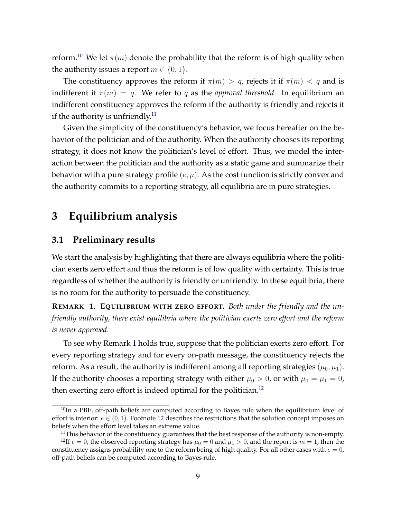reform.<sup>[10](#page-10-0)</sup> We let  $\pi(m)$  denote the probability that the reform is of high quality when the authority issues a report  $m \in \{0, 1\}$ .

The constituency approves the reform if  $\pi(m) > q$ , rejects it if  $\pi(m) < q$  and is indifferent if  $\pi(m) = q$ . We refer to q as the *approval threshold*. In equilibrium an indifferent constituency approves the reform if the authority is friendly and rejects it if the authority is unfriendly.<sup>11</sup>

Given the simplicity of the constituency's behavior, we focus hereafter on the behavior of the politician and of the authority. When the authority chooses its reporting strategy, it does not know the politician's level of effort. Thus, we model the interaction between the politician and the authority as a static game and summarize their behavior with a pure strategy profile (*e, µ*). As the cost function is strictly convex and the authority commits to a reporting strategy, all equilibria are in pure strategies.

# **3 Equilibrium analysis**

#### **3.1 Preliminary results**

We start the analysis by highlighting that there are always equilibria where the politician exerts zero effort and thus the reform is of low quality with certainty. This is true regardless of whether the authority is friendly or unfriendly. In these equilibria, there is no room for the authority to persuade the constituency.

<span id="page-10-2"></span>**REMARK 1. EQUILIBRIUM WITH ZERO EFFORT.** *Both under the friendly and the unfriendly authority, there exist equilibria where the politician exerts zero effort and the reform is never approved.*

To see why Remark [1](#page-10-2) holds true, suppose that the politician exerts zero effort. For every reporting strategy and for every on-path message, the constituency rejects the reform. As a result, the authority is indifferent among all reporting strategies  $(\mu_0, \mu_1)$ . If the authority chooses a reporting strategy with either  $\mu_0 > 0$ , or with  $\mu_0 = \mu_1 = 0$ , then exerting zero effort is indeed optimal for the politician.<sup>12</sup>

<span id="page-10-0"></span> $10$ In a PBE, off-path beliefs are computed according to Bayes rule when the equilibrium level of effort is interior:  $e \in (0, 1)$ . Footnote [12](#page-10-3) describes the restrictions that the solution concept imposes on beliefs when the effort level takes an extreme value.

<span id="page-10-3"></span><span id="page-10-1"></span> $11$ This behavior of the constituency guarantees that the best response of the authority is non-empty.

<sup>&</sup>lt;sup>12</sup>If  $e = 0$ , the observed reporting strategy has  $\mu_0 = 0$  and  $\mu_1 > 0$ , and the report is  $m = 1$ , then the constituency assigns probability one to the reform being of high quality. For all other cases with  $e = 0$ , off-path beliefs can be computed according to Bayes rule.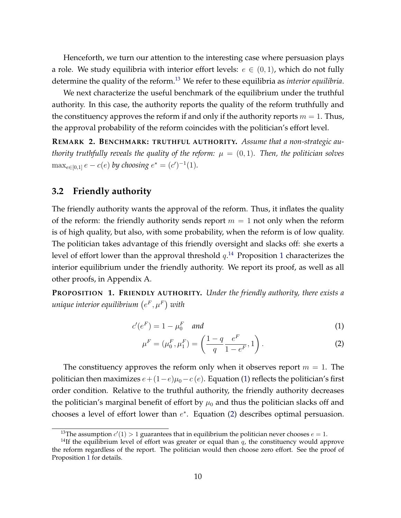Henceforth, we turn our attention to the interesting case where persuasion plays a role. We study equilibria with interior effort levels:  $e \in (0,1)$ , which do not fully determine the quality of the reform[.13](#page-11-0) We refer to these equilibria as *interior equilibria*.

We next characterize the useful benchmark of the equilibrium under the truthful authority. In this case, the authority reports the quality of the reform truthfully and the constituency approves the reform if and only if the authority reports  $m = 1$ . Thus, the approval probability of the reform coincides with the politician's effort level.

<span id="page-11-5"></span>**REMARK 2. BENCHMARK: TRUTHFUL AUTHORITY.** *Assume that a non-strategic authority truthfully reveals the quality of the reform:*  $\mu = (0,1)$ *. Then, the politician solves*  $\max_{e \in [0,1]} e - c(e)$  by choosing  $e^* = (c')^{-1}(1)$ *.* 

#### **3.2 Friendly authority**

The friendly authority wants the approval of the reform. Thus, it inflates the quality of the reform: the friendly authority sends report  $m = 1$  not only when the reform is of high quality, but also, with some probability, when the reform is of low quality. The politician takes advantage of this friendly oversight and slacks off: she exerts a level of effort lower than the approval threshold  $q$ .<sup>[14](#page-11-1)</sup> Proposition [1](#page-11-2) characterizes the interior equilibrium under the friendly authority. We report its proof, as well as all other proofs, in Appendix A.

<span id="page-11-2"></span>**PROPOSITION 1. FRIENDLY AUTHORITY.** *Under the friendly authority, there exists a*  $u$ nique interior equilibrium  $(e^F, \mu^F)$  with

$$
c'(e^F) = 1 - \mu_0^F \quad \text{and} \tag{1}
$$

<span id="page-11-4"></span><span id="page-11-3"></span>
$$
\mu^{F} = (\mu_0^{F}, \mu_1^{F}) = \left(\frac{1-q}{q} \frac{e^{F}}{1-e^{F}}, 1\right).
$$
 (2)

The constituency approves the reform only when it observes report  $m = 1$ . The politician then maximizes  $e + (1-e)\mu_0 - c(e)$ . Equation [\(1\)](#page-11-3) reflects the politician's first order condition. Relative to the truthful authority, the friendly authority decreases the politician's marginal benefit of effort by  $\mu_0$  and thus the politician slacks off and chooses a level of effort lower than  $e^*$ . Equation [\(2\)](#page-11-4) describes optimal persuasion.

<span id="page-11-1"></span><span id="page-11-0"></span><sup>&</sup>lt;sup>13</sup>The assumption  $c'(1) > 1$  guarantees that in equilibrium the politician never chooses  $e = 1$ .

<sup>&</sup>lt;sup>14</sup>If the equilibrium level of effort was greater or equal than  $q$ , the constituency would approve the reform regardless of the report. The politician would then choose zero effort. See the proof of Proposition [1](#page-11-2) for details.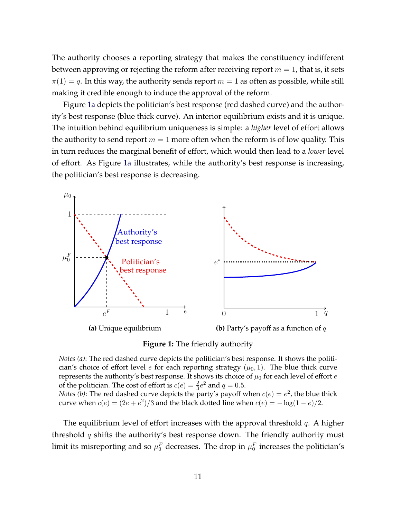The authority chooses a reporting strategy that makes the constituency indifferent between approving or rejecting the reform after receiving report  $m = 1$ , that is, it sets  $\pi(1) = q$ . In this way, the authority sends report  $m = 1$  as often as possible, while still making it credible enough to induce the approval of the reform.

Figure [1a](#page-12-0) depicts the politician's best response (red dashed curve) and the authority's best response (blue thick curve). An interior equilibrium exists and it is unique. The intuition behind equilibrium uniqueness is simple: a *higher* level of effort allows the authority to send report  $m = 1$  more often when the reform is of low quality. This in turn reduces the marginal benefit of effort, which would then lead to a *lower* level of effort. As Figure [1a](#page-12-0) illustrates, while the authority's best response is increasing, the politician's best response is decreasing.

<span id="page-12-0"></span>

**Figure 1:** The friendly authority

*Notes (a)*: The red dashed curve depicts the politician's best response. It shows the politician's choice of effort level  $e$  for each reporting strategy  $(\mu_0, 1)$ . The blue thick curve represents the authority's best response. It shows its choice of *µ*<sup>0</sup> for each level of effort *e* of the politician. The cost of effort is  $c(e) = \frac{2}{3}e^2$  and  $q = 0.5$ .

*Notes (b)*: The red dashed curve depicts the party's payoff when  $c(e) = e^2$ , the blue thick curve when  $c(e) = (2e + e^2)/3$  and the black dotted line when  $c(e) = -\log(1 - e)/2$ .

The equilibrium level of effort increases with the approval threshold *q*. A higher threshold *q* shifts the authority's best response down. The friendly authority must limit its misreporting and so  $\mu_0^F$  decreases. The drop in  $\mu_0^F$  increases the politician's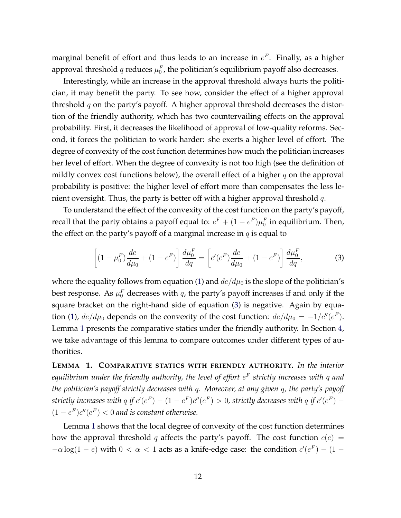marginal benefit of effort and thus leads to an increase in  $e^F$ . Finally, as a higher approval threshold  $q$  reduces  $\mu_0^F$ , the politician's equilibrium payoff also decreases.

Interestingly, while an increase in the approval threshold always hurts the politician, it may benefit the party. To see how, consider the effect of a higher approval threshold *q* on the party's payoff. A higher approval threshold decreases the distortion of the friendly authority, which has two countervailing effects on the approval probability. First, it decreases the likelihood of approval of low-quality reforms. Second, it forces the politician to work harder: she exerts a higher level of effort. The degree of convexity of the cost function determines how much the politician increases her level of effort. When the degree of convexity is not too high (see the definition of mildly convex cost functions below), the overall effect of a higher *q* on the approval probability is positive: the higher level of effort more than compensates the less lenient oversight. Thus, the party is better off with a higher approval threshold *q*.

To understand the effect of the convexity of the cost function on the party's payoff, recall that the party obtains a payoff equal to:  $e^F + (1 - e^F)\mu_0^F$  in equilibrium. Then, the effect on the party's payoff of a marginal increase in *q* is equal to

<span id="page-13-0"></span>
$$
\left[ (1 - \mu_0^F) \frac{de}{d\mu_0} + (1 - e^F) \right] \frac{d\mu_0^F}{dq} = \left[ c'(e^F) \frac{de}{d\mu_0} + (1 - e^F) \right] \frac{d\mu_0^F}{dq},\tag{3}
$$

where the equality follows from equation [\(1\)](#page-11-3) and  $de/d\mu_0$  is the slope of the politician's best response. As  $\mu_0^F$  decreases with  $q$ , the party's payoff increases if and only if the square bracket on the right-hand side of equation [\(3\)](#page-13-0) is negative. Again by equa-tion [\(1\)](#page-11-3),  $de/d\mu_0$  depends on the convexity of the cost function:  $de/d\mu_0 = -1/c''(e^F)$ . Lemma [1](#page-13-1) presents the comparative statics under the friendly authority. In Section [4,](#page-17-0) we take advantage of this lemma to compare outcomes under different types of authorities.

<span id="page-13-1"></span>**LEMMA 1. COMPARATIVE STATICS WITH FRIENDLY AUTHORITY.** *In the interior equilibrium under the friendly authority, the level of effort e<sup>F</sup> strictly increases with q and the politician's payoff strictly decreases with q. Moreover, at any given q, the party's payoff strictly increases with q if*  $c'(e^F) - (1 - e^F)c''(e^F) > 0$ *, strictly decreases with q if*  $c'(e^F) (1 - e^F)c''(e^F) < 0$  and is constant otherwise.

Lemma [1](#page-13-1) shows that the local degree of convexity of the cost function determines how the approval threshold *q* affects the party's payoff. The cost function  $c(e)$  =  $-\alpha \log(1 - e)$  with  $0 < \alpha < 1$  acts as a knife-edge case: the condition  $c'(e^F) - (1 - e)$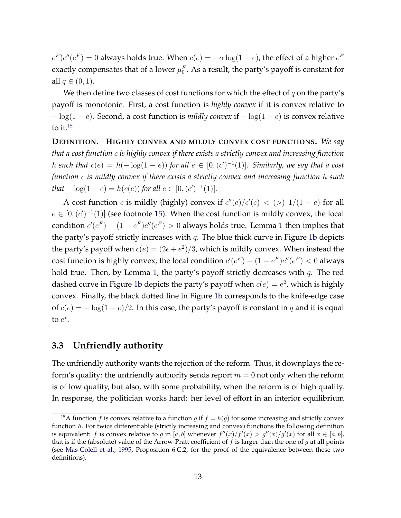$e^F$ ) $c''$ ( $e^F$ ) = 0 always holds true. When  $c(e) = -\alpha \log(1 - e)$ , the effect of a higher  $e^F$ exactly compensates that of a lower  $\mu_0^F$ . As a result, the party's payoff is constant for all  $q \in (0, 1)$ .

We then define two classes of cost functions for which the effect of *q* on the party's payoff is monotonic. First, a cost function is *highly convex* if it is convex relative to  $-\log(1 - e)$ . Second, a cost function is *mildly convex* if  $-\log(1 - e)$  is convex relative to it. $15$ 

**DEFINITION. HIGHLY CONVEX AND MILDLY CONVEX COST FUNCTIONS.** *We say that a cost function c is highly convex if there exists a strictly convex and increasing function h* such that  $c(e) = h(-\log(1-e))$  for all  $e \in [0, (c')^{-1}(1)]$ . Similarly, we say that a cost *function c is mildly convex if there exists a strictly convex and increasing function h such that*  $-\log(1-e) = h(c(e))$  *for all*  $e \in [0, (c')^{-1}(1)]$ *.* 

A cost function *c* is mildly (highly) convex if  $c''(e)/c'(e) < (>) 1/(1 - e)$  for all  $e \in [0, (c')^{-1}(1)]$  (see footnote [15\)](#page-14-0). When the cost function is mildly convex, the local condition  $c'(e^F) - (1 - e^F)c''(e^F) > 0$  $c'(e^F) - (1 - e^F)c''(e^F) > 0$  $c'(e^F) - (1 - e^F)c''(e^F) > 0$  always holds true. Lemma 1 then implies that the party's payoff strictly increases with *q*. The blue thick curve in Figure [1b](#page-12-0) depicts the party's payoff when  $c(e) = (2e + e^2)/3$ , which is mildly convex. When instead the cost function is highly convex, the local condition  $c'(e^F) - (1 - e^F)c''(e^F) < 0$  always hold true. Then, by Lemma [1,](#page-13-1) the party's payoff strictly decreases with *q*. The red dashed curve in Figure [1b](#page-12-0) depicts the party's payoff when  $c(e) = e^2$ , which is highly convex. Finally, the black dotted line in Figure [1b](#page-12-0) corresponds to the knife-edge case of  $c(e) = -\log(1-e)/2$ . In this case, the party's payoff is constant in *q* and it is equal to  $e^*$ .

#### **3.3 Unfriendly authority**

The unfriendly authority wants the rejection of the reform. Thus, it downplays the reform's quality: the unfriendly authority sends report  $m = 0$  not only when the reform is of low quality, but also, with some probability, when the reform is of high quality. In response, the politician works hard: her level of effort in an interior equilibrium

<span id="page-14-0"></span><sup>&</sup>lt;sup>15</sup>A function *f* is convex relative to a function *g* if  $f = h(g)$  for some increasing and strictly convex function *h*. For twice differentiable (strictly increasing and convex) functions the following definition is equivalent: *f* is convex relative to *g* in [a, b] whenever  $f''(x)/f'(x) > g''(x)/g'(x)$  for all  $x \in [a, b]$ , that is if the (absolute) value of the Arrow-Pratt coefficient of *f* is larger than the one of *g* at all points (see [Mas-Colell et al.,](#page-33-12) [1995,](#page-33-12) Proposition 6.C.2, for the proof of the equivalence between these two definitions).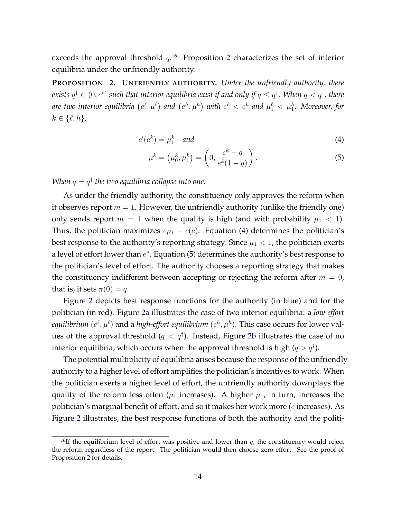exceeds the approval threshold  $q$ <sup>[16](#page-15-0)</sup> Proposition [2](#page-15-1) characterizes the set of interior equilibria under the unfriendly authority.

<span id="page-15-1"></span>**PROPOSITION 2. UNFRIENDLY AUTHORITY.** *Under the unfriendly authority, there*  $e$ xists  $q^{\dagger} \in (0,e^*]$  such that interior equilibria exist if and only if  $q \leq q^{\dagger}$ . When  $q < q^{\dagger}$ , there are two interior equilibria  $(e^{\ell}, \mu^{\ell})$  and  $(e^h, \mu^h)$  with  $e^{\ell} < e^h$  and  $\mu_1^{\ell} < \mu_1^h$ . Moreover, for  $k \in \{\ell, h\}$ *,* 

$$
c'(e^k) = \mu_1^k \quad \text{and} \tag{4}
$$

<span id="page-15-3"></span><span id="page-15-2"></span>
$$
\mu^{k} = (\mu_0^{k}, \mu_1^{k}) = \left(0, \frac{e^{k} - q}{e^{k}(1 - q)}\right).
$$
\n(5)

*When*  $q = q^{\dagger}$  *the two equilibria collapse into one.* 

As under the friendly authority, the constituency only approves the reform when it observes report  $m = 1$ . However, the unfriendly authority (unlike the friendly one) only sends report  $m = 1$  when the quality is high (and with probability  $\mu_1 < 1$ ). Thus, the politician maximizes  $e\mu_1 - c(e)$ . Equation [\(4\)](#page-15-2) determines the politician's best response to the authority's reporting strategy. Since  $\mu_1 < 1$ , the politician exerts a level of effort lower than  $e^*$ . Equation [\(5\)](#page-15-3) determines the authority's best response to the politician's level of effort. The authority chooses a reporting strategy that makes the constituency indifferent between accepting or rejecting the reform after  $m = 0$ , that is, it sets  $\pi(0) = q$ .

Figure [2](#page-16-1) depicts best response functions for the authority (in blue) and for the politician (in red). Figure [2a](#page-16-1) illustrates the case of two interior equilibria: a *low-effort equilibrium*  $(e^{\ell},\mu^{\ell})$  *and a <i>high-effort equilibrium*  $(e^h,\mu^h)$ *. This case occurs for lower val*ues of the approval threshold  $(q < q^{\dagger})$ . Instead, Figure [2b](#page-16-1) illustrates the case of no interior equilibria*,* which occurs when the approval threshold is high ( $q > q^{\dagger}$ ).

The potential multiplicity of equilibria arises because the response of the unfriendly authority to a higher level of effort amplifies the politician's incentives to work. When the politician exerts a higher level of effort, the unfriendly authority downplays the quality of the reform less often  $(\mu_1$  increases). A higher  $\mu_1$ , in turn, increases the politician's marginal benefit of effort, and so it makes her work more (*e* increases). As Figure [2](#page-16-1) illustrates, the best response functions of both the authority and the politi-

<span id="page-15-0"></span><sup>&</sup>lt;sup>16</sup>If the equilibrium level of effort was positive and lower than  $q$ , the constituency would reject the reform regardless of the report. The politician would then choose zero effort. See the proof of Proposition [2](#page-15-1) for details.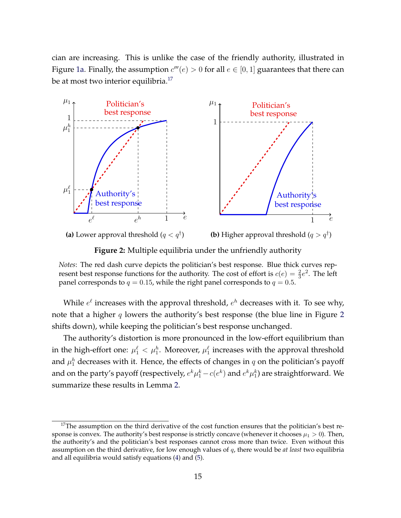cian are increasing. This is unlike the case of the friendly authority, illustrated in Figure [1a.](#page-12-0) Finally, the assumption  $c'''(e) > 0$  for all  $e \in [0, 1]$  guarantees that there can be at most two interior equilibria.<sup>17</sup>

<span id="page-16-1"></span>

**Figure 2:** Multiple equilibria under the unfriendly authority

*Notes*: The red dash curve depicts the politician's best response. Blue thick curves represent best response functions for the authority. The cost of effort is  $c(e) = \frac{2}{3}e^2$ . The left panel corresponds to  $q = 0.15$ , while the right panel corresponds to  $q = 0.5$ .

While  $e^{\ell}$  increases with the approval threshold,  $e^{h}$  decreases with it. To see why, note that a higher *q* lowers the authority's best response (the blue line in Figure [2](#page-16-1) shifts down), while keeping the politician's best response unchanged.

The authority's distortion is more pronounced in the low-effort equilibrium than in the high-effort one:  $\mu_1^{\ell} < \mu_1^h$ . Moreover,  $\mu_1^{\ell}$  increases with the approval threshold and *µ<sup>h</sup>* <sup>1</sup> decreases with it. Hence, the effects of changes in *q* on the politician's payoff and on the party's payoff (respectively,  $e^k\mu_1^k - c(e^k)$  and  $e^k\mu_1^k$ ) are straightforward. We summarize these results in Lemma [2.](#page-17-1)

<span id="page-16-0"></span><sup>&</sup>lt;sup>17</sup>The assumption on the third derivative of the cost function ensures that the politician's best response is convex. The authority's best response is strictly concave (whenever it chooses  $\mu_1 > 0$ ). Then, the authority's and the politician's best responses cannot cross more than twice. Even without this assumption on the third derivative, for low enough values of *q*, there would be *at least* two equilibria and all equilibria would satisfy equations [\(4\)](#page-15-2) and [\(5\)](#page-15-3).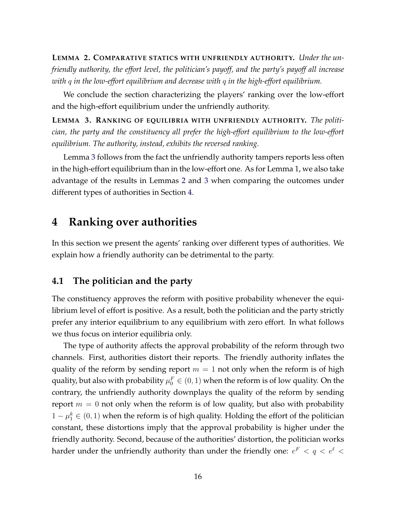<span id="page-17-1"></span>**LEMMA 2. COMPARATIVE STATICS WITH UNFRIENDLY AUTHORITY.** *Under the unfriendly authority, the effort level, the politician's payoff, and the party's payoff all increase with q in the low-effort equilibrium and decrease with q in the high-effort equilibrium.*

We conclude the section characterizing the players' ranking over the low-effort and the high-effort equilibrium under the unfriendly authority.

<span id="page-17-2"></span>**LEMMA 3. RANKING OF EQUILIBRIA WITH UNFRIENDLY AUTHORITY.** *The politician, the party and the constituency all prefer the high-effort equilibrium to the low-effort equilibrium. The authority, instead, exhibits the reversed ranking.*

Lemma [3](#page-17-2) follows from the fact the unfriendly authority tampers reports less often in the high-effort equilibrium than in the low-effort one. As for Lemma 1, we also take advantage of the results in Lemmas [2](#page-17-1) and [3](#page-17-2) when comparing the outcomes under different types of authorities in Section [4.](#page-17-0)

# <span id="page-17-0"></span>**4 Ranking over authorities**

In this section we present the agents' ranking over different types of authorities. We explain how a friendly authority can be detrimental to the party.

#### **4.1 The politician and the party**

The constituency approves the reform with positive probability whenever the equilibrium level of effort is positive. As a result, both the politician and the party strictly prefer any interior equilibrium to any equilibrium with zero effort. In what follows we thus focus on interior equilibria only.

The type of authority affects the approval probability of the reform through two channels. First, authorities distort their reports. The friendly authority inflates the quality of the reform by sending report  $m = 1$  not only when the reform is of high quality, but also with probability  $\mu_0^F \in (0,1)$  when the reform is of low quality. On the contrary, the unfriendly authority downplays the quality of the reform by sending report  $m = 0$  not only when the reform is of low quality, but also with probability  $1 - \mu_1^k \in (0, 1)$  when the reform is of high quality. Holding the effort of the politician constant, these distortions imply that the approval probability is higher under the friendly authority. Second, because of the authorities' distortion, the politician works harder under the unfriendly authority than under the friendly one:  $e^F < q < e^\ell <$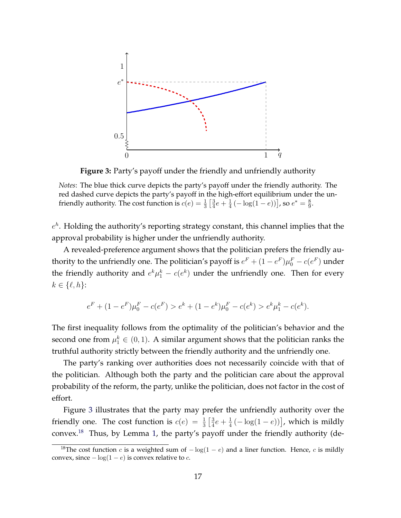<span id="page-18-0"></span>

**Figure 3:** Party's payoff under the friendly and unfriendly authority

*Notes*: The blue thick curve depicts the party's payoff under the friendly authority. The red dashed curve depicts the party's payoff in the high-effort equilibrium under the unfriendly authority. The cost function is  $c(e) = \frac{1}{3} \left[ \frac{3}{4} e + \frac{1}{4} \left( -\log(1 - e) \right) \right]$ , so  $e^* = \frac{8}{9}$ .

*e<sup>h</sup>*. Holding the authority's reporting strategy constant, this channel implies that the approval probability is higher under the unfriendly authority.

A revealed-preference argument shows that the politician prefers the friendly authority to the unfriendly one. The politician's payoff is  $e^F + (1 - e^F)\mu_0^F - c(e^F)$  under the friendly authority and  $e^{k}\mu_1^k - c(e^k)$  under the unfriendly one. Then for every  $k \in \{\ell, h\}$ :

$$
e^{F} + (1 - e^{F})\mu_0^F - c(e^{F}) > e^{k} + (1 - e^{k})\mu_0^F - c(e^{k}) > e^{k}\mu_1^k - c(e^{k}).
$$

The first inequality follows from the optimality of the politician's behavior and the second one from  $\mu_1^k \in (0,1)$ . A similar argument shows that the politician ranks the truthful authority strictly between the friendly authority and the unfriendly one.

The party's ranking over authorities does not necessarily coincide with that of the politician. Although both the party and the politician care about the approval probability of the reform, the party, unlike the politician, does not factor in the cost of effort.

Figure [3](#page-18-0) illustrates that the party may prefer the unfriendly authority over the friendly one. The cost function is  $c(e) = \frac{1}{3} \left[ \frac{3}{4} e + \frac{1}{4} \left( -\log(1-e) \right) \right]$ , which is mildly convex[.18](#page-18-1) Thus, by Lemma [1,](#page-13-1) the party's payoff under the friendly authority (de-

<span id="page-18-1"></span><sup>&</sup>lt;sup>18</sup>The cost function *c* is a weighted sum of  $-\log(1 - e)$  and a liner function. Hence, *c* is mildly convex, since  $-\log(1 - e)$  is convex relative to *c*.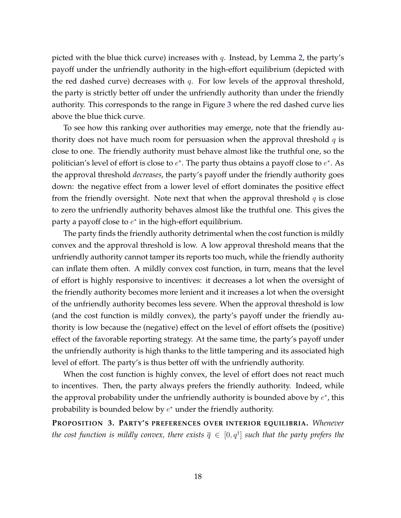picted with the blue thick curve) increases with *q*. Instead, by Lemma [2,](#page-17-1) the party's payoff under the unfriendly authority in the high-effort equilibrium (depicted with the red dashed curve) decreases with *q*. For low levels of the approval threshold, the party is strictly better off under the unfriendly authority than under the friendly authority. This corresponds to the range in Figure [3](#page-18-0) where the red dashed curve lies above the blue thick curve.

To see how this ranking over authorities may emerge, note that the friendly authority does not have much room for persuasion when the approval threshold *q* is close to one. The friendly authority must behave almost like the truthful one, so the politician's level of effort is close to  $e^*$ . The party thus obtains a payoff close to  $e^*$ . As the approval threshold *decreases*, the party's payoff under the friendly authority goes down: the negative effect from a lower level of effort dominates the positive effect from the friendly oversight. Note next that when the approval threshold *q* is close to zero the unfriendly authority behaves almost like the truthful one. This gives the party a payoff close to  $e^*$  in the high-effort equilibrium.

The party finds the friendly authority detrimental when the cost function is mildly convex and the approval threshold is low. A low approval threshold means that the unfriendly authority cannot tamper its reports too much, while the friendly authority can inflate them often. A mildly convex cost function, in turn, means that the level of effort is highly responsive to incentives: it decreases a lot when the oversight of the friendly authority becomes more lenient and it increases a lot when the oversight of the unfriendly authority becomes less severe. When the approval threshold is low (and the cost function is mildly convex), the party's payoff under the friendly authority is low because the (negative) effect on the level of effort offsets the (positive) effect of the favorable reporting strategy. At the same time, the party's payoff under the unfriendly authority is high thanks to the little tampering and its associated high level of effort. The party's is thus better off with the unfriendly authority.

When the cost function is highly convex, the level of effort does not react much to incentives. Then, the party always prefers the friendly authority. Indeed, while the approval probability under the unfriendly authority is bounded above by  $e^*$ , this probability is bounded below by  $e^*$  under the friendly authority.

<span id="page-19-0"></span>**PROPOSITION 3. PARTY'S PREFERENCES OVER INTERIOR EQUILIBRIA.** *Whenever the cost function is mildly convex, there exists*  $\overline{q} \in [0,q^\dagger]$  *such that the party prefers the*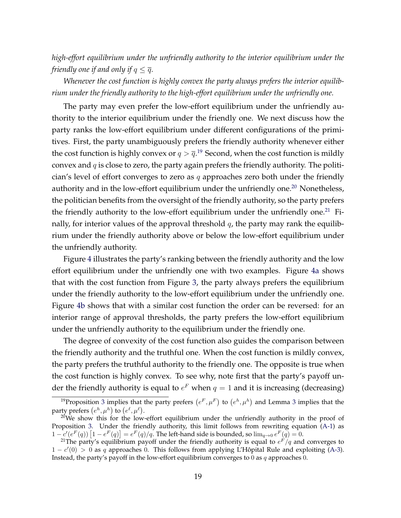*high-effort equilibrium under the unfriendly authority to the interior equilibrium under the friendly one if and only if*  $q \leq \overline{q}$ *.* 

*Whenever the cost function is highly convex the party always prefers the interior equilibrium under the friendly authority to the high-effort equilibrium under the unfriendly one.*

The party may even prefer the low-effort equilibrium under the unfriendly authority to the interior equilibrium under the friendly one. We next discuss how the party ranks the low-effort equilibrium under different configurations of the primitives. First, the party unambiguously prefers the friendly authority whenever either the cost function is highly convex or  $q > \overline{q}.^{19}$  $q > \overline{q}.^{19}$  $q > \overline{q}.^{19}$  Second, when the cost function is mildly convex and *q* is close to zero, the party again prefers the friendly authority. The politician's level of effort converges to zero as *q* approaches zero both under the friendly authority and in the low-effort equilibrium under the unfriendly one.<sup>20</sup> Nonetheless, the politician benefits from the oversight of the friendly authority, so the party prefers the friendly authority to the low-effort equilibrium under the unfriendly one.<sup>[21](#page-20-2)</sup> Finally, for interior values of the approval threshold *q*, the party may rank the equilibrium under the friendly authority above or below the low-effort equilibrium under the unfriendly authority.

Figure [4](#page-21-0) illustrates the party's ranking between the friendly authority and the low effort equilibrium under the unfriendly one with two examples. Figure [4a](#page-21-0) shows that with the cost function from Figure [3,](#page-18-0) the party always prefers the equilibrium under the friendly authority to the low-effort equilibrium under the unfriendly one. Figure [4b](#page-21-0) shows that with a similar cost function the order can be reversed: for an interior range of approval thresholds, the party prefers the low-effort equilibrium under the unfriendly authority to the equilibrium under the friendly one.

The degree of convexity of the cost function also guides the comparison between the friendly authority and the truthful one. When the cost function is mildly convex, the party prefers the truthful authority to the friendly one. The opposite is true when the cost function is highly convex. To see why, note first that the party's payoff under the friendly authority is equal to  $e^F$  when  $q = 1$  and it is increasing (decreasing)

<span id="page-20-0"></span><sup>&</sup>lt;sup>19</sup> Proposition [3](#page-17-2) implies that the party prefers  $(e^F, \mu^F)$  to  $(e^h, \mu^h)$  and Lemma 3 implies that the party prefers  $(e^h, \mu^h)$  to  $(e^{\ell}, \mu^{\ell})$ .

<span id="page-20-1"></span> $20$ We show this for the low-effort equilibrium under the unfriendly authority in the proof of Proposition [3.](#page-19-0) Under the friendly authority, this limit follows from rewriting equation [\(A-1\)](#page-24-0) as  $1 - c'(e^F(q)) [1 - e^F(q)]$ 

<span id="page-20-2"></span><sup>&</sup>lt;sup>21</sup>The party's equilibrium payoff under the friendly authority is equal to  $e^F/q$  and converges to  $1 - c'(0) > 0$  as *q* approaches 0. This follows from applying L'Hôpital Rule and exploiting ([A-3\)](#page-24-1). Instead, the party's payoff in the low-effort equilibrium converges to 0 as *q* approaches 0.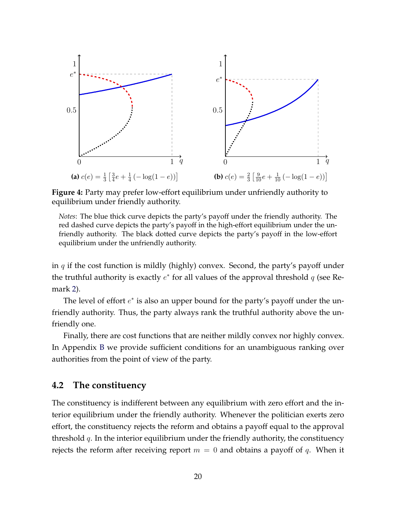<span id="page-21-0"></span>

**Figure 4:** Party may prefer low-effort equilibrium under unfriendly authority to equilibrium under friendly authority.

*Notes*: The blue thick curve depicts the party's payoff under the friendly authority. The red dashed curve depicts the party's payoff in the high-effort equilibrium under the unfriendly authority. The black dotted curve depicts the party's payoff in the low-effort equilibrium under the unfriendly authority.

in *q* if the cost function is mildly (highly) convex. Second, the party's payoff under the truthful authority is exactly  $e^*$  for all values of the approval threshold  $q$  (see Remark [2\)](#page-11-5).

The level of effort  $e^*$  is also an upper bound for the party's payoff under the unfriendly authority. Thus, the party always rank the truthful authority above the unfriendly one.

Finally, there are cost functions that are neither mildly convex nor highly convex. In Appendix [B](#page-29-0) we provide sufficient conditions for an unambiguous ranking over authorities from the point of view of the party.

#### **4.2 The constituency**

The constituency is indifferent between any equilibrium with zero effort and the interior equilibrium under the friendly authority. Whenever the politician exerts zero effort, the constituency rejects the reform and obtains a payoff equal to the approval threshold *q*. In the interior equilibrium under the friendly authority, the constituency rejects the reform after receiving report  $m = 0$  and obtains a payoff of q. When it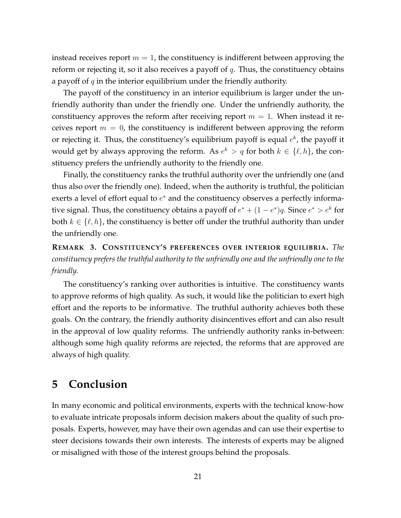instead receives report  $m = 1$ , the constituency is indifferent between approving the reform or rejecting it, so it also receives a payoff of *q*. Thus, the constituency obtains a payoff of *q* in the interior equilibrium under the friendly authority.

The payoff of the constituency in an interior equilibrium is larger under the unfriendly authority than under the friendly one. Under the unfriendly authority, the constituency approves the reform after receiving report  $m = 1$ . When instead it receives report  $m = 0$ , the constituency is indifferent between approving the reform or rejecting it. Thus, the constituency's equilibrium payoff is equal *e<sup>k</sup>*, the payoff it would get by always approving the reform. As  $e^k > q$  for both  $k \in \{\ell, h\}$ , the constituency prefers the unfriendly authority to the friendly one.

Finally, the constituency ranks the truthful authority over the unfriendly one (and thus also over the friendly one). Indeed, when the authority is truthful, the politician exerts a level of effort equal to  $e^*$  and the constituency observes a perfectly informative signal. Thus, the constituency obtains a payoff of  $e^* + (1 - e^*)q$ . Since  $e^* > e^k$  for both  $k \in \{\ell, h\}$ , the constituency is better off under the truthful authority than under the unfriendly one.

**REMARK 3. CONSTITUENCY'S PREFERENCES OVER INTERIOR EQUILIBRIA.** *The constituency prefers the truthful authority to the unfriendly one and the unfriendly one to the friendly.*

The constituency's ranking over authorities is intuitive. The constituency wants to approve reforms of high quality. As such, it would like the politician to exert high effort and the reports to be informative. The truthful authority achieves both these goals. On the contrary, the friendly authority disincentives effort and can also result in the approval of low quality reforms. The unfriendly authority ranks in-between: although some high quality reforms are rejected, the reforms that are approved are always of high quality.

## **5 Conclusion**

In many economic and political environments, experts with the technical know-how to evaluate intricate proposals inform decision makers about the quality of such proposals. Experts, however, may have their own agendas and can use their expertise to steer decisions towards their own interests. The interests of experts may be aligned or misaligned with those of the interest groups behind the proposals.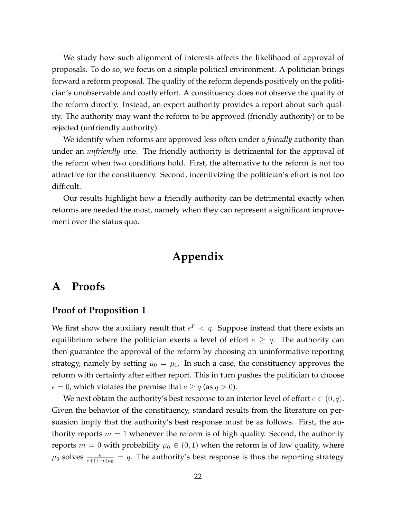We study how such alignment of interests affects the likelihood of approval of proposals. To do so, we focus on a simple political environment. A politician brings forward a reform proposal. The quality of the reform depends positively on the politician's unobservable and costly effort. A constituency does not observe the quality of the reform directly. Instead, an expert authority provides a report about such quality. The authority may want the reform to be approved (friendly authority) or to be rejected (unfriendly authority).

We identify when reforms are approved less often under a *friendly* authority than under an *unfriendly* one. The friendly authority is detrimental for the approval of the reform when two conditions hold. First, the alternative to the reform is not too attractive for the constituency. Second, incentivizing the politician's effort is not too difficult.

Our results highlight how a friendly authority can be detrimental exactly when reforms are needed the most, namely when they can represent a significant improvement over the status quo.

# **Appendix**

## **A Proofs**

#### **Proof of Proposition [1](#page-11-2)**

We first show the auxiliary result that  $e^F$  < q. Suppose instead that there exists an equilibrium where the politician exerts a level of effort  $e \geq q$ . The authority can then guarantee the approval of the reform by choosing an uninformative reporting strategy, namely by setting  $\mu_0 = \mu_1$ . In such a case, the constituency approves the reform with certainty after either report. This in turn pushes the politician to choose  $e = 0$ , which violates the premise that  $e \geq q$  (as  $q > 0$ ).

We next obtain the authority's best response to an interior level of effort  $e \in (0, q)$ . Given the behavior of the constituency, standard results from the literature on persuasion imply that the authority's best response must be as follows. First, the authority reports  $m = 1$  whenever the reform is of high quality. Second, the authority reports  $m = 0$  with probability  $\mu_0 \in (0, 1)$  when the reform is of low quality, where  $\mu_0$  solves  $\frac{e}{e+(1-e)\mu_0} = q$ . The authority's best response is thus the reporting strategy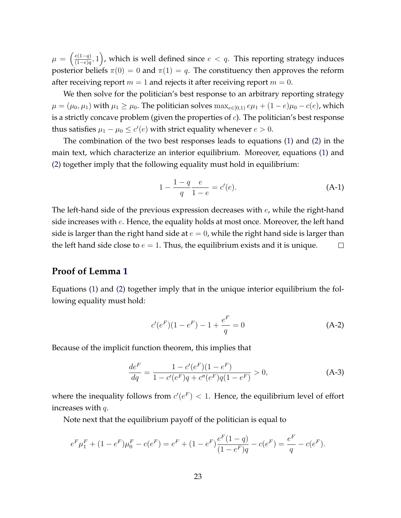$\mu = \left(\frac{e(1-q)}{(1-e)q}, 1\right)$ , which is well defined since  $e < q$ . This reporting strategy induces posterior beliefs  $\pi(0) = 0$  and  $\pi(1) = q$ . The constituency then approves the reform after receiving report  $m = 1$  and rejects it after receiving report  $m = 0$ .

We then solve for the politician's best response to an arbitrary reporting strategy  $\mu = (\mu_0, \mu_1)$  with  $\mu_1 \ge \mu_0$ . The politician solves  $\max_{e \in [0,1)} e\mu_1 + (1-e)\mu_0 - c(e)$ , which is a strictly concave problem (given the properties of *c*). The politician's best response thus satisfies  $\mu_1 - \mu_0 \leq c'(e)$  with strict equality whenever  $e > 0$ .

The combination of the two best responses leads to equations [\(1\)](#page-11-3) and [\(2\)](#page-11-4) in the main text, which characterize an interior equilibrium. Moreover, equations [\(1\)](#page-11-3) and [\(2\)](#page-11-4) together imply that the following equality must hold in equilibrium:

<span id="page-24-0"></span>
$$
1 - \frac{1 - q}{q} \frac{e}{1 - e} = c'(e).
$$
 (A-1)

The left-hand side of the previous expression decreases with *e*, while the right-hand side increases with *e*. Hence, the equality holds at most once. Moreover, the left hand side is larger than the right hand side at  $e = 0$ , while the right hand side is larger than the left hand side close to  $e = 1$ . Thus, the equilibrium exists and it is unique.  $\Box$ 

#### **Proof of Lemma [1](#page-13-1)**

Equations [\(1\)](#page-11-3) and [\(2\)](#page-11-4) together imply that in the unique interior equilibrium the following equality must hold:

<span id="page-24-2"></span>
$$
c'(e^F)(1 - e^F) - 1 + \frac{e^F}{q} = 0
$$
 (A-2)

Because of the implicit function theorem, this implies that

<span id="page-24-1"></span>
$$
\frac{de^F}{dq} = \frac{1 - c'(e^F)(1 - e^F)}{1 - c'(e^F)q + c''(e^F)q(1 - e^F)} > 0,
$$
\n(A-3)

where the inequality follows from  $c'(e^F) < 1$ . Hence, the equilibrium level of effort increases with *q*.

Note next that the equilibrium payoff of the politician is equal to

$$
e^{F}\mu_{1}^{F} + (1 - e^{F})\mu_{0}^{F} - c(e^{F}) = e^{F} + (1 - e^{F})\frac{e^{F}(1 - q)}{(1 - e^{F})q} - c(e^{F}) = \frac{e^{F}}{q} - c(e^{F}).
$$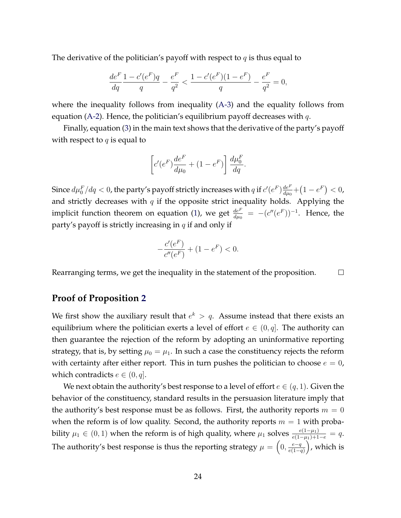The derivative of the politician's payoff with respect to *q* is thus equal to

$$
\frac{de^{F}}{dq}\frac{1-c'(e^{F})q}{q} - \frac{e^{F}}{q^{2}} < \frac{1-c'(e^{F})(1-e^{F})}{q} - \frac{e^{F}}{q^{2}} = 0,
$$

where the inequality follows from inequality [\(A-3\)](#page-24-1) and the equality follows from equation [\(A-2\)](#page-24-2). Hence, the politician's equilibrium payoff decreases with *q*.

Finally, equation [\(3\)](#page-13-0) in the main text shows that the derivative of the party's payoff with respect to *q* is equal to

$$
\left[c'(e^F)\frac{de^F}{d\mu_0} + (1 - e^F)\right] \frac{d\mu_0^F}{dq}.
$$

Since  $d\mu_0^F/dq < 0$ , the party's payoff strictly increases with  $q$  if  $c'(e^F)\frac{de^F}{d\mu_0}+(1-e^F)< 0$ , and strictly decreases with *q* if the opposite strict inequality holds. Applying the implicit function theorem on equation [\(1\)](#page-11-3), we get  $\frac{de^F}{d\mu_0} = -(c''(e^F))^{-1}$ . Hence, the party's payoff is strictly increasing in *q* if and only if

$$
-\frac{c'(e^F)}{c''(e^F)} + (1 - e^F) < 0.
$$

Rearranging terms, we get the inequality in the statement of the proposition.  $\Box$ 

#### **Proof of Proposition [2](#page-15-1)**

We first show the auxiliary result that  $e^k > q$ . Assume instead that there exists an equilibrium where the politician exerts a level of effort  $e \in (0, q]$ . The authority can then guarantee the rejection of the reform by adopting an uninformative reporting strategy, that is, by setting  $\mu_0 = \mu_1$ . In such a case the constituency rejects the reform with certainty after either report. This in turn pushes the politician to choose  $e = 0$ , which contradicts  $e \in (0, q]$ .

We next obtain the authority's best response to a level of effort  $e \in (q, 1)$ . Given the behavior of the constituency, standard results in the persuasion literature imply that the authority's best response must be as follows. First, the authority reports  $m = 0$ when the reform is of low quality. Second, the authority reports  $m = 1$  with probability  $\mu_1 \in (0,1)$  when the reform is of high quality, where  $\mu_1$  solves  $\frac{e(1-\mu_1)}{e(1-\mu_1)+1-e} = q$ . The authority's best response is thus the reporting strategy  $\mu = \left(0, \frac{e-q}{e(1-q)}\right)$  $\int$ , which is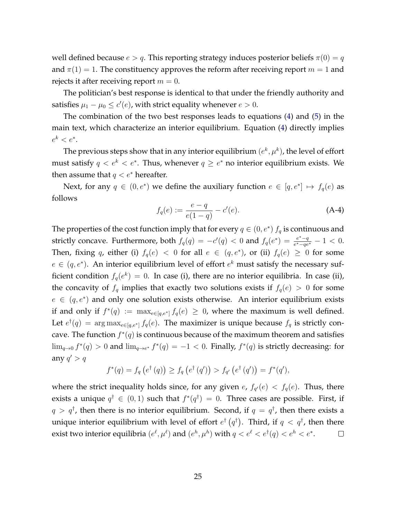well defined because  $e > q$ . This reporting strategy induces posterior beliefs  $\pi(0) = q$ and  $\pi(1) = 1$ . The constituency approves the reform after receiving report  $m = 1$  and rejects it after receiving report  $m = 0$ .

The politician's best response is identical to that under the friendly authority and satisfies  $\mu_1 - \mu_0 \leq c'(e)$ , with strict equality whenever  $e > 0$ .

The combination of the two best responses leads to equations [\(4\)](#page-15-2) and [\(5\)](#page-15-3) in the main text, which characterize an interior equilibrium. Equation [\(4\)](#page-15-2) directly implies  $e^{k} < e^{*}.$ 

The previous steps show that in any interior equilibrium  $(e^k, \mu^k)$ , the level of effort must satisfy  $q \leq e^k \leq e^*$ . Thus, whenever  $q \geq e^*$  no interior equilibrium exists. We then assume that  $q < e^*$  hereafter.

Next, for any  $q \in (0, e^*)$  we define the auxiliary function  $e \in [q, e^*] \mapsto f_q(e)$  as follows

<span id="page-26-0"></span>
$$
f_q(e) := \frac{e - q}{e(1 - q)} - c'(e).
$$
 (A-4)

The properties of the cost function imply that for every  $q \in (0, e^*)$   $f_q$  is continuous and strictly concave. Furthermore, both  $f_q(q) = -c'(q) < 0$  and  $f_q(e^*) = \frac{e^*-q}{e^*-qe^*} - 1 < 0$ . Then, fixing *q*, either (i)  $f_q(e) < 0$  for all  $e \in (q, e^*)$ , or (ii)  $f_q(e) \ge 0$  for some  $e \in (q, e^*)$ . An interior equilibrium level of effort  $e^k$  must satisfy the necessary sufficient condition  $f_q(e^k)=0$ . In case (i), there are no interior equilibria. In case (ii), the concavity of  $f_q$  implies that exactly two solutions exists if  $f_q(e) > 0$  for some  $e \in (q, e^*)$  and only one solution exists otherwise. An interior equilibrium exists if and only if  $f^*(q) := \max_{e \in [q,e^*]} f_q(e) \geq 0$ , where the maximum is well defined. Let  $e^{\dagger}(q) = \arg \max_{e \in [q, e^*]} f_q(e)$ . The maximizer is unique because  $f_q$  is strictly concave. The function  $f^*(q)$  is continuous because of the maximum theorem and satisfies  $\lim_{q\to 0} f^*(q) > 0$  and  $\lim_{q\to e^*} f^*(q) = -1 < 0$ . Finally,  $f^*(q)$  is strictly decreasing: for any  $q' > q$ 

$$
f^*(q) = f_q(e^{\dagger}(q)) \ge f_q(e^{\dagger}(q')) > f_{q'}(e^{\dagger}(q')) = f^*(q'),
$$

where the strict inequality holds since, for any given  $e$ ,  $f_{q}(e) < f_{q}(e)$ . Thus, there exists a unique  $q^{\dagger} \in (0,1)$  such that  $f^*(q^{\dagger})=0$ . Three cases are possible. First, if  $q > q^{\dagger}$ , then there is no interior equilibrium. Second, if  $q = q^{\dagger}$ , then there exists a unique interior equilibrium with level of effort  $e^{\dagger}$   $(q^{\dagger})$ . Third, if  $q < q^{\dagger}$ , then there exist two interior equilibria  $(e^{\ell}, \mu^{\ell})$  and  $(e^h, \mu^h)$  with  $q < e^{\ell} < e^{\dagger}(q) < e^h < e^*$ .  $\Box$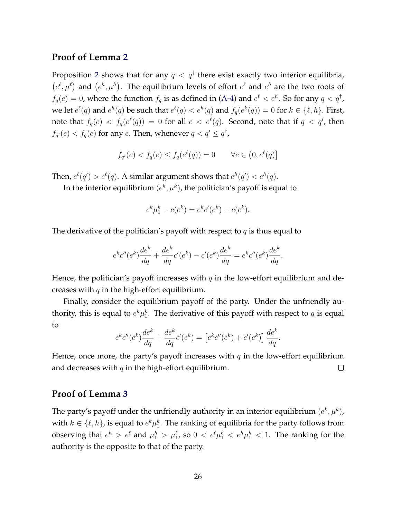#### **Proof of Lemma [2](#page-17-1)**

Proposition [2](#page-15-1) shows that for any  $q < q^{\dagger}$  there exist exactly two interior equilibria,  $(e^{\ell}, \mu^{\ell})$  and  $(e^h, \mu^h)$ . The equilibrium levels of effort  $e^{\ell}$  and  $e^h$  are the two roots of  $f_q(e) = 0$ , where the function  $f_q$  is as defined in [\(A-4\)](#page-26-0) and  $e^{\ell} < e^h$ . So for any  $q < q^{\dagger}$ , we let  $e^{\ell}(q)$  and  $e^h(q)$  be such that  $e^{\ell}(q) < e^h(q)$  and  $f_q(e^k(q)) = 0$  for  $k \in \{\ell, h\}$ . First, note that  $f_q(e) \, <\, f_q(e^\ell(q)) \, =\, 0$  for all  $e\, <\, e^\ell(q).$  Second, note that if  $q\, <\, q^\prime$ , then  $f_{q'}(e) < f_q(e)$  for any *e*. Then, whenever  $q < q' \leq q^{\dagger}$ ,

$$
f_{q'}(e) < f_q(e) \le f_q(e^\ell(q)) = 0 \qquad \forall e \in \left(0, e^\ell(q)\right]
$$

Then,  $e^{\ell}(q') > e^{\ell}(q)$ . A similar argument shows that  $e^{h}(q') < e^{h}(q)$ .

In the interior equilibrium  $(e^k, \mu^k)$ , the politician's payoff is equal to

$$
e^{k}\mu_1^k - c(e^k) = e^{k}c'(e^k) - c(e^k).
$$

The derivative of the politician's payoff with respect to *q* is thus equal to

$$
e^{k}c''(e^{k})\frac{de^{k}}{dq} + \frac{de^{k}}{dq}c'(e^{k}) - c'(e^{k})\frac{de^{k}}{dq} = e^{k}c''(e^{k})\frac{de^{k}}{dq}.
$$

Hence, the politician's payoff increases with  $q$  in the low-effort equilibrium and decreases with *q* in the high-effort equilibrium.

Finally, consider the equilibrium payoff of the party. Under the unfriendly authority, this is equal to  $e^k\mu_1^k$ . The derivative of this payoff with respect to  $q$  is equal to

$$
e^{k}c''(e^{k})\frac{de^{k}}{dq} + \frac{de^{k}}{dq}c'(e^{k}) = [e^{k}c''(e^{k}) + c'(e^{k})]\frac{de^{k}}{dq}.
$$

Hence, once more, the party's payoff increases with  $q$  in the low-effort equilibrium and decreases with *q* in the high-effort equilibrium.  $\Box$ 

#### **Proof of Lemma [3](#page-17-2)**

The party's payoff under the unfriendly authority in an interior equilibrium  $(e^k, \mu^k)$ , with  $k \in \{\ell, h\}$ , is equal to  $e^k \mu_1^k$ . The ranking of equilibria for the party follows from observing that  $e^h > e^{\ell}$  and  $\mu_1^h > \mu_1^{\ell}$ , so  $0 < e^{\ell} \mu_1^{\ell} < e^h \mu_1^h < 1$ . The ranking for the authority is the opposite to that of the party.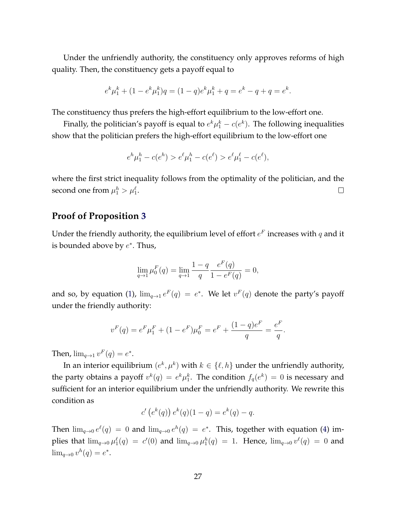Under the unfriendly authority, the constituency only approves reforms of high quality. Then, the constituency gets a payoff equal to

$$
e^{k}\mu_1^k + (1 - e^{k}\mu_1^k)q = (1 - q)e^{k}\mu_1^k + q = e^{k} - q + q = e^{k}.
$$

The constituency thus prefers the high-effort equilibrium to the low-effort one.

Finally, the politician's payoff is equal to  $e^k\mu_1^k - c(e^k)$ . The following inequalities show that the politician prefers the high-effort equilibrium to the low-effort one

$$
e^h\mu_1^h - c(e^h) > e^{\ell}\mu_1^h - c(e^{\ell}) > e^{\ell}\mu_1^{\ell} - c(e^{\ell}),
$$

where the first strict inequality follows from the optimality of the politician, and the second one from  $\mu_1^h > \mu_1^{\ell}$ .  $\Box$ 

#### **Proof of Proposition [3](#page-19-0)**

Under the friendly authority, the equilibrium level of effort  $e^F$  increases with *q* and it is bounded above by  $e^*$ . Thus,

$$
\lim_{q \to 1} \mu_0^F(q) = \lim_{q \to 1} \frac{1 - q}{q} \frac{e^F(q)}{1 - e^F(q)} = 0,
$$

and so, by equation [\(1\)](#page-11-3),  $\lim_{q\to 1} e^F(q) = e^*$ . We let  $v^F(q)$  denote the party's payoff under the friendly authority:

$$
v^{F}(q) = e^{F}\mu_{1}^{F} + (1 - e^{F})\mu_{0}^{F} = e^{F} + \frac{(1 - q)e^{F}}{q} = \frac{e^{F}}{q}.
$$

Then,  $\lim_{q \to 1} v^F(q) = e^*$ .

In an interior equilibrium  $(e^k, \mu^k)$  with  $k \in \{\ell, h\}$  under the unfriendly authority, the party obtains a payoff  $v^k(q) = e^k \mu_1^k$ . The condition  $f_q(e^k) = 0$  is necessary and sufficient for an interior equilibrium under the unfriendly authority. We rewrite this condition as

$$
c'\left(e^k(q)\right)e^k(q)(1-q) = e^k(q) - q.
$$

Then  $\lim_{q\to 0} e^{\ell}(q) = 0$  and  $\lim_{q\to 0} e^h(q) = e^*$ . This, together with equation [\(4\)](#page-15-2) implies that  $\lim_{q\to 0} \mu_1^{\ell}(q) = c'(0)$  and  $\lim_{q\to 0} \mu_1^{h}(q) = 1$ . Hence,  $\lim_{q\to 0} v^{\ell}(q) = 0$  and  $\lim_{q \to 0} v^h(q) = e^*$ .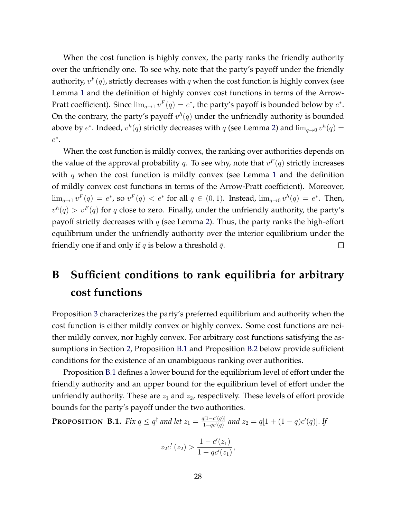When the cost function is highly convex, the party ranks the friendly authority over the unfriendly one. To see why, note that the party's payoff under the friendly authority,  $v<sup>F</sup>(q)$ , strictly decreases with q when the cost function is highly convex (see Lemma [1](#page-13-1) and the definition of highly convex cost functions in terms of the Arrow-Pratt coefficient). Since  $\lim_{q\to 1} v^F(q) = e^*$ , the party's payoff is bounded below by  $e^*$ . On the contrary, the party's payoff  $v^h(q)$  under the unfriendly authority is bounded above by  $e^*$ . Indeed,  $v^h(q)$  strictly decreases with *q* (see Lemma [2\)](#page-17-1) and  $\lim_{q\to 0} v^h(q) =$  $e^*$ .

When the cost function is mildly convex, the ranking over authorities depends on the value of the approval probability *q*. To see why, note that  $v^F(q)$  strictly increases with *q* when the cost function is mildly convex (see Lemma [1](#page-13-1) and the definition of mildly convex cost functions in terms of the Arrow-Pratt coefficient). Moreover,  $\lim_{q\to 1} v^F(q) = e^*$ , so  $v^F(q) < e^*$  for all  $q \in (0,1)$ . Instead,  $\lim_{q\to 0} v^h(q) = e^*$ . Then,  $v^h(q) > v^F(q)$  for *q* close to zero. Finally, under the unfriendly authority, the party's payoff strictly decreases with *q* (see Lemma [2\)](#page-17-1). Thus, the party ranks the high-effort equilibrium under the unfriendly authority over the interior equilibrium under the friendly one if and only if *q* is below a threshold  $\bar{q}$ .  $\Box$ 

# <span id="page-29-0"></span>**B Sufficient conditions to rank equilibria for arbitrary cost functions**

Proposition [3](#page-19-0) characterizes the party's preferred equilibrium and authority when the cost function is either mildly convex or highly convex. Some cost functions are neither mildly convex, nor highly convex. For arbitrary cost functions satisfying the assumptions in Section [2,](#page-8-1) Proposition [B.1](#page-29-1) and Proposition [B.2](#page-31-4) below provide sufficient conditions for the existence of an unambiguous ranking over authorities.

Proposition [B.1](#page-29-1) defines a lower bound for the equilibrium level of effort under the friendly authority and an upper bound for the equilibrium level of effort under the unfriendly authority. These are  $z_1$  and  $z_2$ , respectively. These levels of effort provide bounds for the party's payoff under the two authorities.

<span id="page-29-1"></span>**PROPOSITION B.1.** Fix  $q \leq q^{\dagger}$  and let  $z_1 = \frac{q[1-c'(q)]}{1-qc'(q)}$  and  $z_2 = q[1+(1-q)c'(q)]$ . If

$$
z_2c'(z_2) > \frac{1 - c'(z_1)}{1 - qc'(z_1)},
$$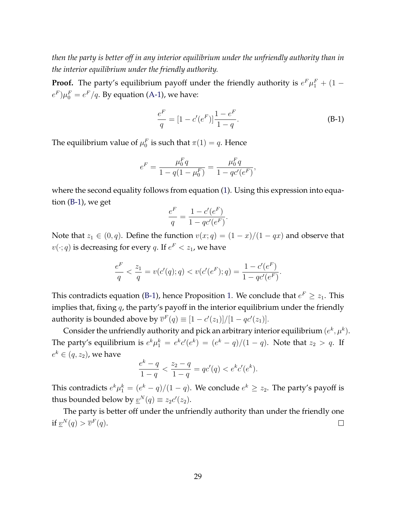*then the party is better off in any interior equilibrium under the unfriendly authority than in the interior equilibrium under the friendly authority.*

**Proof.** The party's equilibrium payoff under the friendly authority is  $e^F \mu_1^F + (1 (e^F)\mu_0^F=e^F/q.$  By equation [\(A-1\)](#page-24-0), we have:

<span id="page-30-0"></span>
$$
\frac{e^F}{q} = [1 - c'(e^F)] \frac{1 - e^F}{1 - q}.
$$
 (B-1)

The equilibrium value of  $\mu_0^F$  is such that  $\pi(1) = q$ . Hence

$$
e^{F} = \frac{\mu_0^F q}{1 - q(1 - \mu_0^F)} = \frac{\mu_0^F q}{1 - qc'(e^F)},
$$

where the second equality follows from equation [\(1\)](#page-11-3). Using this expression into equation [\(B-1\)](#page-30-0), we get

$$
\frac{e^F}{q} = \frac{1 - c'(e^F)}{1 - qc'(e^F)}.
$$

Note that  $z_1 \in (0, q)$ . Define the function  $v(x; q) = (1 - x)/(1 - qx)$  and observe that  $v(\cdot; q)$  is decreasing for every *q*. If  $e^F < z_1$ , we have

$$
\frac{e^F}{q} < \frac{z_1}{q} = v(c'(q); q) < v(c'(e^F); q) = \frac{1 - c'(e^F)}{1 - qc'(e^F)}.
$$

This contradicts equation [\(B-1\)](#page-30-0), hence Proposition [1.](#page-11-2) We conclude that  $e^F \ge z_1$ . This implies that, fixing *q*, the party's payoff in the interior equilibrium under the friendly authority is bounded above by  $\overline{v}^F(q) \equiv [1 - c'(z_1)]/[1 - qc'(z_1)].$ 

Consider the unfriendly authority and pick an arbitrary interior equilibrium  $(e^k, \mu^k)$ . The party's equilibrium is  $e^k \mu_1^k = e^k c'(e^k) = (e^k - q)/(1 - q)$ . Note that  $z_2 > q$ . If  $e^k \in (q, z_2)$ , we have

$$
\frac{e^k - q}{1 - q} < \frac{z_2 - q}{1 - q} = qc'(q) < e^k c'(e^k).
$$

This contradicts  $e^{k}\mu_1^k = (e^k - q)/(1 - q)$ . We conclude  $e^k \ge z_2$ . The party's payoff is thus bounded below by  $\underline{v}^N(q) \equiv z_2 c'(z_2)$ .

The party is better off under the unfriendly authority than under the friendly one if  $\underline{v}^N(q) > \overline{v}^F(q)$ .  $\Box$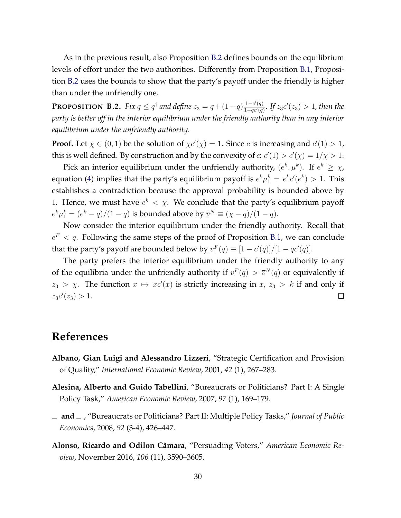As in the previous result, also Proposition [B.2](#page-31-4) defines bounds on the equilibrium levels of effort under the two authorities. Differently from Proposition [B.1,](#page-29-1) Proposition [B.2](#page-31-4) uses the bounds to show that the party's payoff under the friendly is higher than under the unfriendly one.

<span id="page-31-4"></span>**PROPOSITION B.2.** Fix  $q \leq q^{\dagger}$  and define  $z_3 = q + (1-q) \frac{1-c'(q)}{1-qc'(q)}$ . If  $z_3c'(z_3) > 1$ , then the *party is better off in the interior equilibrium under the friendly authority than in any interior equilibrium under the unfriendly authority.*

**Proof.** Let  $\chi \in (0,1)$  be the solution of  $\chi c'(\chi) = 1$ . Since *c* is increasing and  $c'(1) > 1$ , this is well defined. By construction and by the convexity of  $c$ :  $c'(1) > c'(\chi) = 1/\chi > 1$ .

Pick an interior equilibrium under the unfriendly authority,  $(e^k, \mu^k)$ . If  $e^k \geq \chi$ , equation [\(4\)](#page-15-2) implies that the party's equilibrium payoff is  $e^{k}\mu_1^k = e^{k}c'(e^{k}) > 1$ . This establishes a contradiction because the approval probability is bounded above by 1. Hence, we must have  $e^k < \chi$ . We conclude that the party's equilibrium payoff  $e^{k}\mu_1^k = (e^k - q)/(1 - q)$  is bounded above by  $\overline{v}^N \equiv (\chi - q)/(1 - q)$ .

Now consider the interior equilibrium under the friendly authority. Recall that  $e<sup>F</sup>$  < q. Following the same steps of the proof of Proposition [B.1,](#page-29-1) we can conclude that the party's payoff are bounded below by  $\underline{v}^F(q) \equiv [1 - c'(q)]/[1 - qc'(q)]$ .

The party prefers the interior equilibrium under the friendly authority to any of the equilibria under the unfriendly authority if  $v<sup>F</sup>(q) > \overline{v}<sup>N</sup>(q)$  or equivalently if  $z_3 > \chi$ . The function  $x \mapsto xc'(x)$  is strictly increasing in  $x$ ,  $z_3 > k$  if and only if  $z_3c'(z_3) > 1.$  $\Box$ 

# **References**

- <span id="page-31-0"></span>**Albano, Gian Luigi and Alessandro Lizzeri**, "Strategic Certification and Provision of Quality," *International Economic Review*, 2001, *42* (1), 267–283.
- <span id="page-31-1"></span>**Alesina, Alberto and Guido Tabellini**, "Bureaucrats or Politicians? Part I: A Single Policy Task," *American Economic Review*, 2007, *97* (1), 169–179.
- <span id="page-31-2"></span>**and** , "Bureaucrats or Politicians? Part II: Multiple Policy Tasks," *Journal of Public Economics*, 2008, *92* (3-4), 426–447.
- <span id="page-31-3"></span>Alonso, Ricardo and Odilon Câmara, "Persuading Voters," American Economic Re*view*, November 2016, *106* (11), 3590–3605.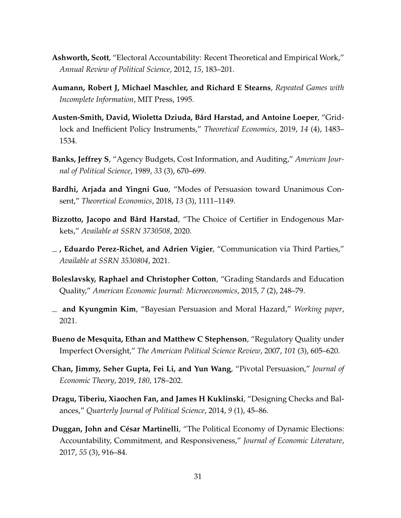- <span id="page-32-0"></span>**Ashworth, Scott**, "Electoral Accountability: Recent Theoretical and Empirical Work," *Annual Review of Political Science*, 2012, *15*, 183–201.
- <span id="page-32-4"></span>**Aumann, Robert J, Michael Maschler, and Richard E Stearns**, *Repeated Games with Incomplete Information*, MIT Press, 1995.
- <span id="page-32-12"></span>**Austen-Smith, David, Wioletta Dziuda, B ˚ard Harstad, and Antoine Loeper**, "Gridlock and Inefficient Policy Instruments," *Theoretical Economics*, 2019, *14* (4), 1483– 1534.
- <span id="page-32-6"></span>**Banks, Jeffrey S**, "Agency Budgets, Cost Information, and Auditing," *American Journal of Political Science*, 1989, *33* (3), 670–699.
- <span id="page-32-10"></span>**Bardhi, Arjada and Yingni Guo**, "Modes of Persuasion toward Unanimous Consent," *Theoretical Economics*, 2018, *13* (3), 1111–1149.
- <span id="page-32-5"></span>**Bizzotto, Jacopo and Bård Harstad, "The Choice of Certifier in Endogenous Mar**kets," *Available at SSRN 3730508*, 2020.
- <span id="page-32-8"></span>**, Eduardo Perez-Richet, and Adrien Vigier**, "Communication via Third Parties," *Available at SSRN 3530804*, 2021.
- <span id="page-32-2"></span>**Boleslavsky, Raphael and Christopher Cotton**, "Grading Standards and Education Quality," *American Economic Journal: Microeconomics*, 2015, *7* (2), 248–79.
- <span id="page-32-3"></span>**and Kyungmin Kim**, "Bayesian Persuasion and Moral Hazard," *Working paper*, 2021.
- <span id="page-32-7"></span>**Bueno de Mesquita, Ethan and Matthew C Stephenson**, "Regulatory Quality under Imperfect Oversight," *The American Political Science Review*, 2007, *101* (3), 605–620.
- <span id="page-32-11"></span>**Chan, Jimmy, Seher Gupta, Fei Li, and Yun Wang**, "Pivotal Persuasion," *Journal of Economic Theory*, 2019, *180*, 178–202.
- <span id="page-32-9"></span>**Dragu, Tiberiu, Xiaochen Fan, and James H Kuklinski**, "Designing Checks and Balances," *Quarterly Journal of Political Science*, 2014, *9* (1), 45–86.
- <span id="page-32-1"></span>**Duggan, John and César Martinelli, "The Political Economy of Dynamic Elections:** Accountability, Commitment, and Responsiveness," *Journal of Economic Literature*, 2017, *55* (3), 916–84.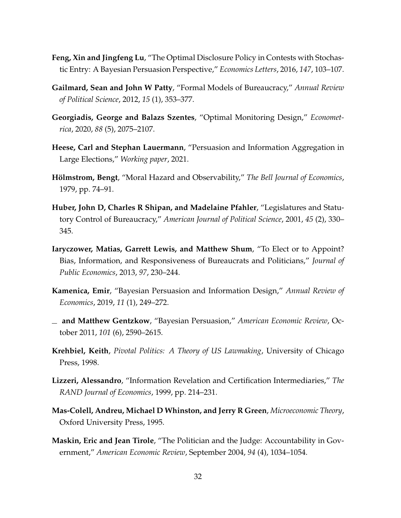- <span id="page-33-9"></span>**Feng, Xin and Jingfeng Lu**, "The Optimal Disclosure Policy in Contests with Stochastic Entry: A Bayesian Persuasion Perspective," *Economics Letters*, 2016, *147*, 103–107.
- <span id="page-33-5"></span>**Gailmard, Sean and John W Patty**, "Formal Models of Bureaucracy," *Annual Review of Political Science*, 2012, *15* (1), 353–377.
- <span id="page-33-3"></span>**Georgiadis, George and Balazs Szentes**, "Optimal Monitoring Design," *Econometrica*, 2020, *88* (5), 2075–2107.
- <span id="page-33-10"></span>**Heese, Carl and Stephan Lauermann**, "Persuasion and Information Aggregation in Large Elections," *Working paper*, 2021.
- <span id="page-33-0"></span>Hölmstrom, Bengt, "Moral Hazard and Observability," The Bell Journal of Economics, 1979, pp. 74–91.
- <span id="page-33-8"></span>**Huber, John D, Charles R Shipan, and Madelaine Pfahler**, "Legislatures and Statutory Control of Bureaucracy," *American Journal of Political Science*, 2001, *45* (2), 330– 345.
- <span id="page-33-7"></span>**Iaryczower, Matias, Garrett Lewis, and Matthew Shum**, "To Elect or to Appoint? Bias, Information, and Responsiveness of Bureaucrats and Politicians," *Journal of Public Economics*, 2013, *97*, 230–244.
- <span id="page-33-2"></span>**Kamenica, Emir**, "Bayesian Persuasion and Information Design," *Annual Review of Economics*, 2019, *11* (1), 249–272.
- <span id="page-33-1"></span>**and Matthew Gentzkow**, "Bayesian Persuasion," *American Economic Review*, October 2011, *101* (6), 2590–2615.
- <span id="page-33-11"></span>**Krehbiel, Keith**, *Pivotal Politics: A Theory of US Lawmaking*, University of Chicago Press, 1998.
- <span id="page-33-4"></span>**Lizzeri, Alessandro**, "Information Revelation and Certification Intermediaries," *The RAND Journal of Economics*, 1999, pp. 214–231.
- <span id="page-33-12"></span>**Mas-Colell, Andreu, Michael D Whinston, and Jerry R Green**, *Microeconomic Theory*, Oxford University Press, 1995.
- <span id="page-33-6"></span>**Maskin, Eric and Jean Tirole**, "The Politician and the Judge: Accountability in Government," *American Economic Review*, September 2004, *94* (4), 1034–1054.